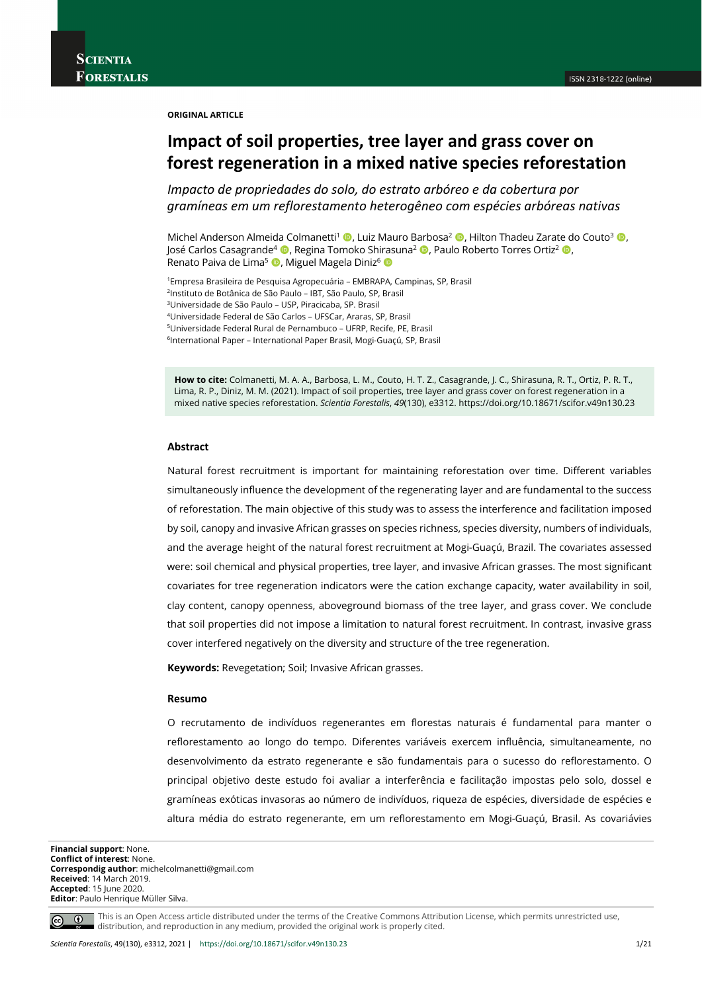**ORIGINAL ARTICLE**

# **Impact of soil properties, tree layer and grass cover on forest regeneration in a mixed native species reforestation**

*Impacto de propriedades do solo, do estrato arbóreo e da cobertura por gramíneas em um reflorestamento heterogêneo com espécies arbóreas nativas*

Michel Anderson Almeida Colmanetti<sup>1</sup> (**b**, Luiz Mauro Barbosa<sup>2</sup> (**b**, Hilton Thadeu Zarate do Couto<sup>3</sup> (**b**, José Carlos Casagrande<sup>4</sup> (D, Regina Tomoko Shirasuna<sup>2</sup> (D, Paulo Roberto Torres Ortiz<sup>2</sup> (D, Renato Paiva de Lima<sup>5</sup> D, Miguel Magela Diniz<sup>6</sup> D

1Empresa Brasileira de Pesquisa Agropecuária – EMBRAPA, Campinas, SP, Brasil 2Instituto de Botânica de São Paulo – IBT, São Paulo, SP, Brasil 3Universidade de São Paulo – USP, Piracicaba, SP. Brasil 4Universidade Federal de São Carlos – UFSCar, Araras, SP, Brasil

5Universidade Federal Rural de Pernambuco – UFRP, Recife, PE, Brasil

6International Paper – International Paper Brasil, Mogi-Guaçú, SP, Brasil

**How to cite:** Colmanetti, M. A. A., Barbosa, L. M., Couto, H. T. Z., Casagrande, J. C., Shirasuna, R. T., Ortiz, P. R. T., Lima, R. P., Diniz, M. M. (2021). Impact of soil properties, tree layer and grass cover on forest regeneration in a mixed native species reforestation. *Scientia Forestalis*, *49*(130), e3312. https://doi.org/10.18671/scifor.v49n130.23

### **Abstract**

Natural forest recruitment is important for maintaining reforestation over time. Different variables simultaneously influence the development of the regenerating layer and are fundamental to the success of reforestation. The main objective of this study was to assess the interference and facilitation imposed by soil, canopy and invasive African grasses on species richness, species diversity, numbers of individuals, and the average height of the natural forest recruitment at Mogi-Guaçú, Brazil. The covariates assessed were: soil chemical and physical properties, tree layer, and invasive African grasses. The most significant covariates for tree regeneration indicators were the cation exchange capacity, water availability in soil, clay content, canopy openness, aboveground biomass of the tree layer, and grass cover. We conclude that soil properties did not impose a limitation to natural forest recruitment. In contrast, invasive grass cover interfered negatively on the diversity and structure of the tree regeneration.

**Keywords:** Revegetation; Soil; Invasive African grasses.

#### **Resumo**

O recrutamento de indivíduos regenerantes em florestas naturais é fundamental para manter o reflorestamento ao longo do tempo. Diferentes variáveis exercem influência, simultaneamente, no desenvolvimento da estrato regenerante e são fundamentais para o sucesso do reflorestamento. O principal objetivo deste estudo foi avaliar a interferência e facilitação impostas pelo solo, dossel e gramíneas exóticas invasoras ao número de indivíduos, riqueza de espécies, diversidade de espécies e altura média do estrato regenerante, em um reflorestamento em Mogi-Guaçú, Brasil. As covariávies

**Financial support**: None. **Conflict of interest**: None. **Correspondig author**: michelcolmanetti@gmail.com **Received**: 14 March 2019. **Accepted**: 15 June 2020. **Editor**: Paulo Henrique Müller Silva.

This is an Open Access article distributed under the terms of the Creative Commons Attribution License, which permits unrestricted use,  $\circledcirc$ distribution, and reproduction in any medium, provided the original work is properly cited.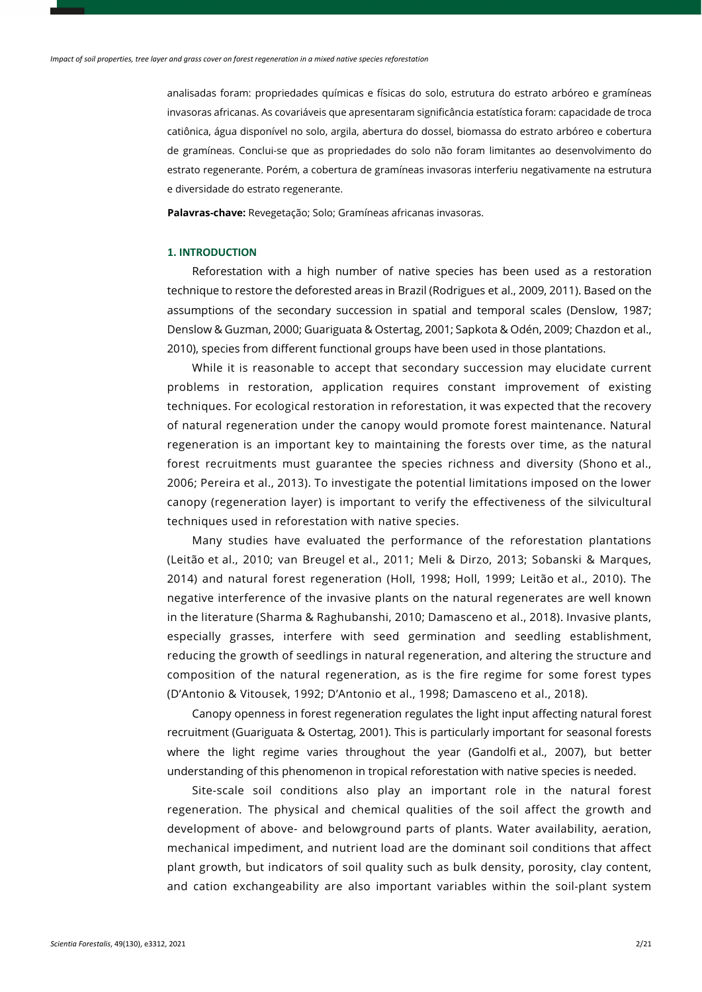analisadas foram: propriedades químicas e físicas do solo, estrutura do estrato arbóreo e gramíneas invasoras africanas. As covariáveis que apresentaram significância estatística foram: capacidade de troca catiônica, água disponível no solo, argila, abertura do dossel, biomassa do estrato arbóreo e cobertura de gramíneas. Conclui-se que as propriedades do solo não foram limitantes ao desenvolvimento do estrato regenerante. Porém, a cobertura de gramíneas invasoras interferiu negativamente na estrutura e diversidade do estrato regenerante.

**Palavras-chave:** Revegetação; Solo; Gramíneas africanas invasoras.

# **1. INTRODUCTION**

Reforestation with a high number of native species has been used as a restoration technique to restore the deforested areas in Brazil (Rodrigues et al., 2009, 2011). Based on the assumptions of the secondary succession in spatial and temporal scales (Denslow, 1987; Denslow & Guzman, 2000; Guariguata & Ostertag, 2001; Sapkota & Odén, 2009; Chazdon et al., 2010), species from different functional groups have been used in those plantations.

While it is reasonable to accept that secondary succession may elucidate current problems in restoration, application requires constant improvement of existing techniques. For ecological restoration in reforestation, it was expected that the recovery of natural regeneration under the canopy would promote forest maintenance. Natural regeneration is an important key to maintaining the forests over time, as the natural forest recruitments must guarantee the species richness and diversity (Shono et al., 2006; Pereira et al., 2013). To investigate the potential limitations imposed on the lower canopy (regeneration layer) is important to verify the effectiveness of the silvicultural techniques used in reforestation with native species.

Many studies have evaluated the performance of the reforestation plantations (Leitão et al., 2010; van Breugel et al., 2011; Meli & Dirzo, 2013; Sobanski & Marques, 2014) and natural forest regeneration (Holl, 1998; Holl, 1999; Leitão et al., 2010). The negative interference of the invasive plants on the natural regenerates are well known in the literature (Sharma & Raghubanshi, 2010; Damasceno et al., 2018). Invasive plants, especially grasses, interfere with seed germination and seedling establishment, reducing the growth of seedlings in natural regeneration, and altering the structure and composition of the natural regeneration, as is the fire regime for some forest types (D'Antonio & Vitousek, 1992; D'Antonio et al., 1998; Damasceno et al., 2018).

Canopy openness in forest regeneration regulates the light input affecting natural forest recruitment (Guariguata & Ostertag, 2001). This is particularly important for seasonal forests where the light regime varies throughout the year (Gandolfi et al., 2007), but better understanding of this phenomenon in tropical reforestation with native species is needed.

Site-scale soil conditions also play an important role in the natural forest regeneration. The physical and chemical qualities of the soil affect the growth and development of above- and belowground parts of plants. Water availability, aeration, mechanical impediment, and nutrient load are the dominant soil conditions that affect plant growth, but indicators of soil quality such as bulk density, porosity, clay content, and cation exchangeability are also important variables within the soil-plant system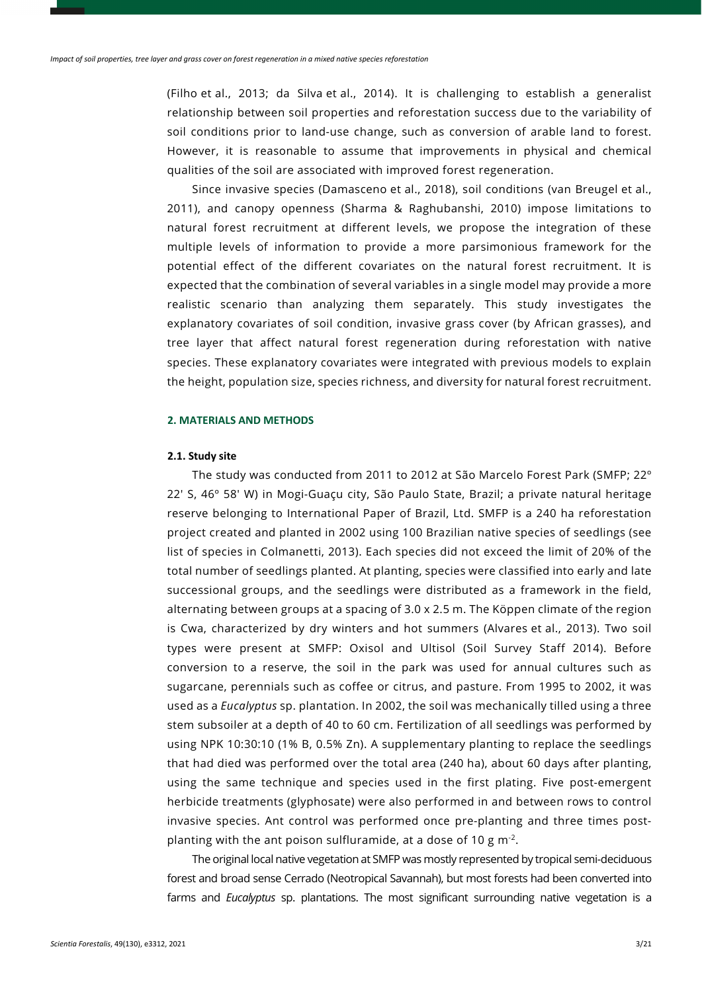(Filho et al., 2013; da Silva et al., 2014). It is challenging to establish a generalist relationship between soil properties and reforestation success due to the variability of soil conditions prior to land-use change, such as conversion of arable land to forest. However, it is reasonable to assume that improvements in physical and chemical qualities of the soil are associated with improved forest regeneration.

Since invasive species (Damasceno et al., 2018), soil conditions (van Breugel et al., 2011), and canopy openness (Sharma & Raghubanshi, 2010) impose limitations to natural forest recruitment at different levels, we propose the integration of these multiple levels of information to provide a more parsimonious framework for the potential effect of the different covariates on the natural forest recruitment. It is expected that the combination of several variables in a single model may provide a more realistic scenario than analyzing them separately. This study investigates the explanatory covariates of soil condition, invasive grass cover (by African grasses), and tree layer that affect natural forest regeneration during reforestation with native species. These explanatory covariates were integrated with previous models to explain the height, population size, species richness, and diversity for natural forest recruitment.

### **2. MATERIALS AND METHODS**

### **2.1. Study site**

The study was conducted from 2011 to 2012 at São Marcelo Forest Park (SMFP; 22º 22' S, 46º 58' W) in Mogi-Guaçu city, São Paulo State, Brazil; a private natural heritage reserve belonging to International Paper of Brazil, Ltd. SMFP is a 240 ha reforestation project created and planted in 2002 using 100 Brazilian native species of seedlings (see list of species in Colmanetti, 2013). Each species did not exceed the limit of 20% of the total number of seedlings planted. At planting, species were classified into early and late successional groups, and the seedlings were distributed as a framework in the field, alternating between groups at a spacing of 3.0 x 2.5 m. The Köppen climate of the region is Cwa, characterized by dry winters and hot summers (Alvares et al., 2013). Two soil types were present at SMFP: Oxisol and Ultisol (Soil Survey Staff 2014). Before conversion to a reserve, the soil in the park was used for annual cultures such as sugarcane, perennials such as coffee or citrus, and pasture. From 1995 to 2002, it was used as a *Eucalyptus* sp. plantation. In 2002, the soil was mechanically tilled using a three stem subsoiler at a depth of 40 to 60 cm. Fertilization of all seedlings was performed by using NPK 10:30:10 (1% B, 0.5% Zn). A supplementary planting to replace the seedlings that had died was performed over the total area (240 ha), about 60 days after planting, using the same technique and species used in the first plating. Five post-emergent herbicide treatments (glyphosate) were also performed in and between rows to control invasive species. Ant control was performed once pre-planting and three times postplanting with the ant poison sulfluramide, at a dose of 10 g m-2.

The original local native vegetation at SMFP was mostly represented by tropical semi-deciduous forest and broad sense Cerrado (Neotropical Savannah), but most forests had been converted into farms and *Eucalyptus* sp. plantations. The most significant surrounding native vegetation is a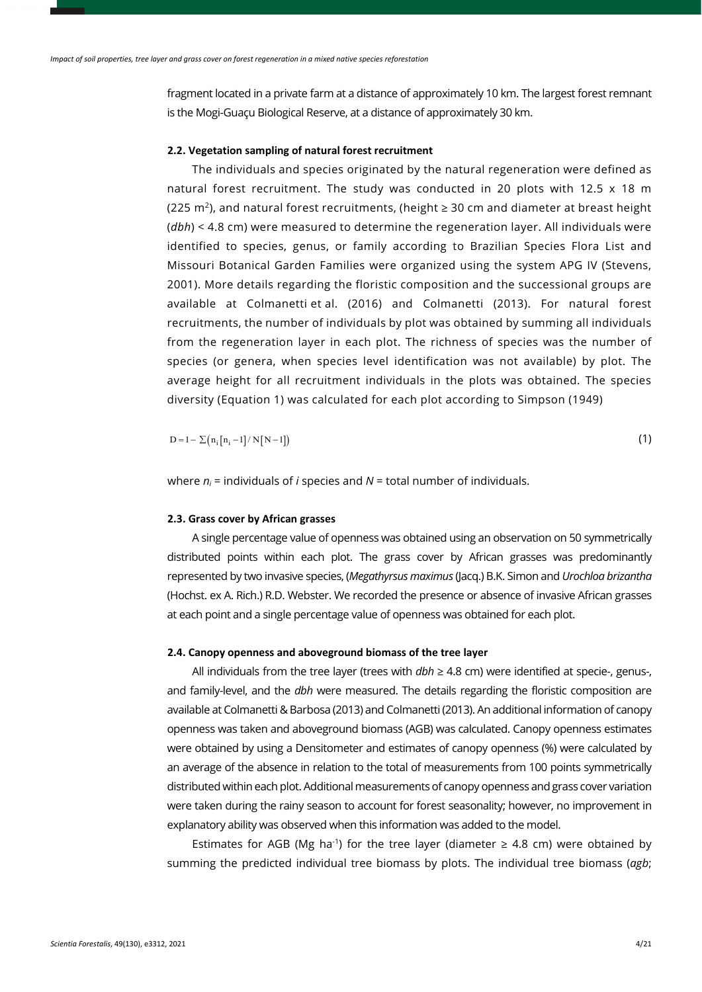fragment located in a private farm at a distance of approximately 10 km. The largest forest remnant is the Mogi-Guaçu Biological Reserve, at a distance of approximately 30 km.

# **2.2. Vegetation sampling of natural forest recruitment**

The individuals and species originated by the natural regeneration were defined as natural forest recruitment. The study was conducted in 20 plots with 12.5  $\times$  18 m (225 m<sup>2</sup>), and natural forest recruitments, (height  $\geq$  30 cm and diameter at breast height (*dbh*) < 4.8 cm) were measured to determine the regeneration layer. All individuals were identified to species, genus, or family according to Brazilian Species Flora List and Missouri Botanical Garden Families were organized using the system APG IV (Stevens, 2001). More details regarding the floristic composition and the successional groups are available at Colmanetti et al. (2016) and Colmanetti (2013). For natural forest recruitments, the number of individuals by plot was obtained by summing all individuals from the regeneration layer in each plot. The richness of species was the number of species (or genera, when species level identification was not available) by plot. The average height for all recruitment individuals in the plots was obtained. The species diversity (Equation 1) was calculated for each plot according to Simpson (1949)

 $D = 1 - \sum (n_i [n_i - 1] / N [N - 1])$  (1)

where  $n_i$  = individuals of *i* species and  $N$  = total number of individuals.

### **2.3. Grass cover by African grasses**

A single percentage value of openness was obtained using an observation on 50 symmetrically distributed points within each plot. The grass cover by African grasses was predominantly represented by two invasive species, (*Megathyrsus maximus* (Jacq.) B.K. Simon and *Urochloa brizantha* (Hochst. ex A. Rich.) R.D. Webster. We recorded the presence or absence of invasive African grasses at each point and a single percentage value of openness was obtained for each plot.

# **2.4. Canopy openness and aboveground biomass of the tree layer**

All individuals from the tree layer (trees with *dbh* ≥ 4.8 cm) were identified at specie-, genus-, and family-level, and the *dbh* were measured. The details regarding the floristic composition are available at Colmanetti & Barbosa (2013) and Colmanetti (2013). An additional information of canopy openness was taken and aboveground biomass (AGB) was calculated. Canopy openness estimates were obtained by using a Densitometer and estimates of canopy openness (%) were calculated by an average of the absence in relation to the total of measurements from 100 points symmetrically distributed within each plot. Additional measurements of canopy openness and grass cover variation were taken during the rainy season to account for forest seasonality; however, no improvement in explanatory ability was observed when this information was added to the model.

Estimates for AGB (Mg ha<sup>-1</sup>) for the tree layer (diameter ≥ 4.8 cm) were obtained by summing the predicted individual tree biomass by plots. The individual tree biomass (*agb*;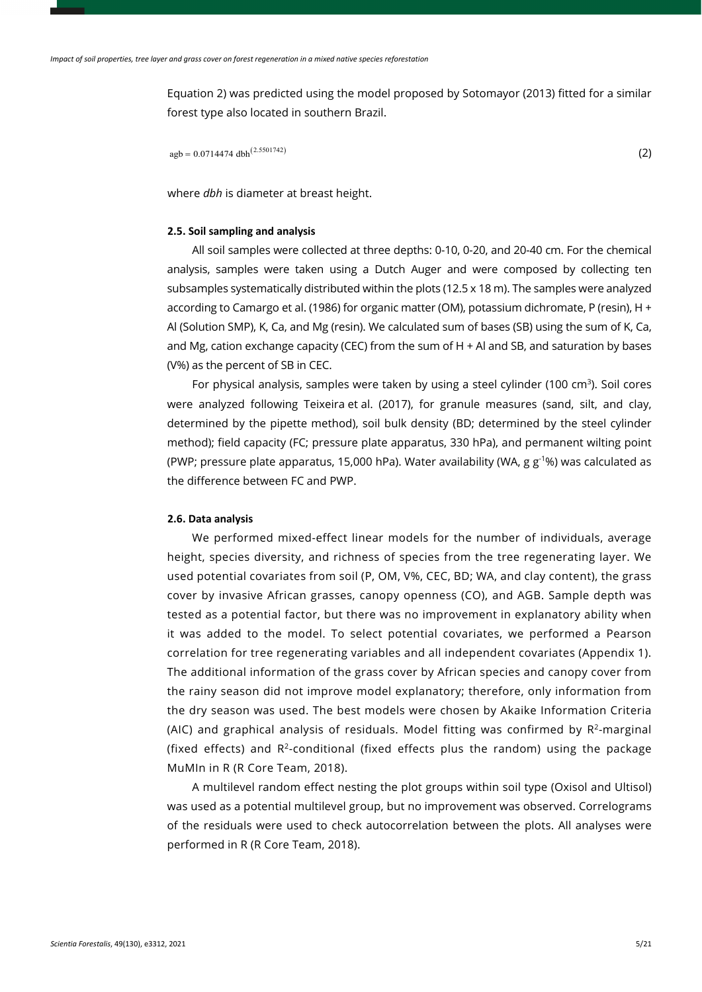Equation 2) was predicted using the model proposed by Sotomayor (2013) fitted for a similar forest type also located in southern Brazil.

 $\text{agb} = 0.0714474 \text{ dbh}^{(2.5501742)}$  (2)

where *dbh* is diameter at breast height.

### **2.5. Soil sampling and analysis**

All soil samples were collected at three depths: 0-10, 0-20, and 20-40 cm. For the chemical analysis, samples were taken using a Dutch Auger and were composed by collecting ten subsamples systematically distributed within the plots (12.5 x 18 m). The samples were analyzed according to Camargo et al. (1986) for organic matter (OM), potassium dichromate, P (resin), H + Al (Solution SMP), K, Ca, and Mg (resin). We calculated sum of bases (SB) using the sum of K, Ca, and Mg, cation exchange capacity (CEC) from the sum of  $H + AI$  and SB, and saturation by bases (V%) as the percent of SB in CEC.

For physical analysis, samples were taken by using a steel cylinder (100 cm<sup>3</sup>). Soil cores were analyzed following Teixeira et al. (2017), for granule measures (sand, silt, and clay, determined by the pipette method), soil bulk density (BD; determined by the steel cylinder method); field capacity (FC; pressure plate apparatus, 330 hPa), and permanent wilting point (PWP; pressure plate apparatus, 15,000 hPa). Water availability (WA,  $g g^{-1}$ %) was calculated as the difference between FC and PWP.

### **2.6. Data analysis**

We performed mixed-effect linear models for the number of individuals, average height, species diversity, and richness of species from the tree regenerating layer. We used potential covariates from soil (P, OM, V%, CEC, BD; WA, and clay content), the grass cover by invasive African grasses, canopy openness (CO), and AGB. Sample depth was tested as a potential factor, but there was no improvement in explanatory ability when it was added to the model. To select potential covariates, we performed a Pearson correlation for tree regenerating variables and all independent covariates (Appendix 1). The additional information of the grass cover by African species and canopy cover from the rainy season did not improve model explanatory; therefore, only information from the dry season was used. The best models were chosen by Akaike Information Criteria (AIC) and graphical analysis of residuals. Model fitting was confirmed by  $R<sup>2</sup>$ -marginal (fixed effects) and  $R^2$ -conditional (fixed effects plus the random) using the package MuMIn in R (R Core Team, 2018).

A multilevel random effect nesting the plot groups within soil type (Oxisol and Ultisol) was used as a potential multilevel group, but no improvement was observed. Correlograms of the residuals were used to check autocorrelation between the plots. All analyses were performed in R (R Core Team, 2018).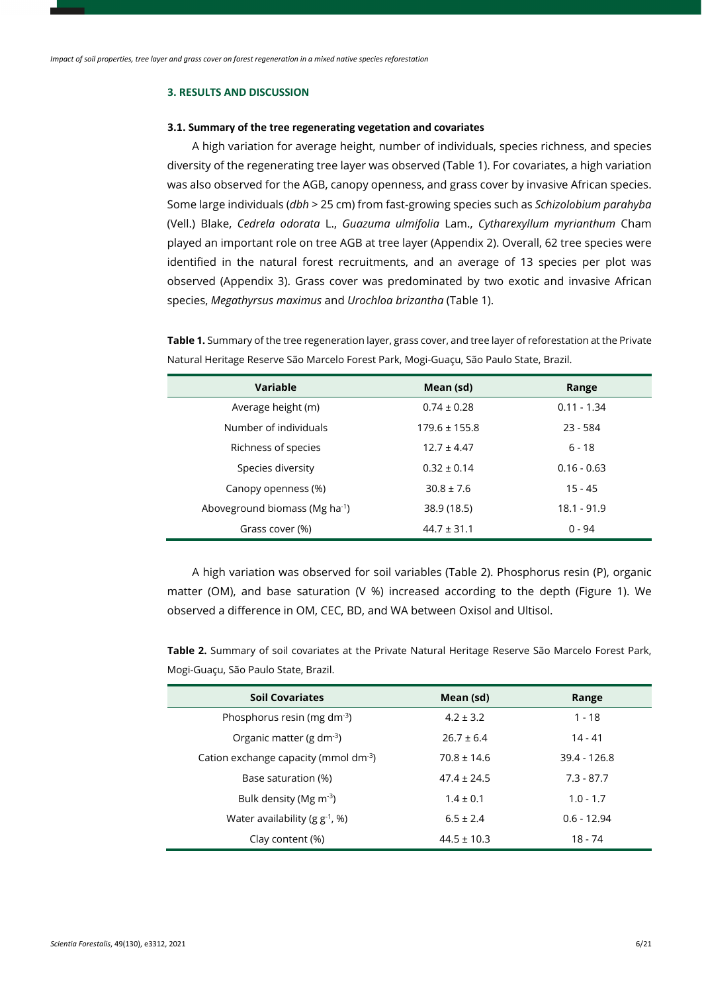### **3. RESULTS AND DISCUSSION**

#### **3.1. Summary of the tree regenerating vegetation and covariates**

A high variation for average height, number of individuals, species richness, and species diversity of the regenerating tree layer was observed (Table 1). For covariates, a high variation was also observed for the AGB, canopy openness, and grass cover by invasive African species. Some large individuals (*dbh* > 25 cm) from fast-growing species such as *Schizolobium parahyba* (Vell.) Blake, *Cedrela odorata* L., *Guazuma ulmifolia* Lam., *Cytharexyllum myrianthum* Cham played an important role on tree AGB at tree layer (Appendix 2). Overall, 62 tree species were identified in the natural forest recruitments, and an average of 13 species per plot was observed (Appendix 3). Grass cover was predominated by two exotic and invasive African species, *Megathyrsus maximus* and *Urochloa brizantha* (Table 1).

**Table 1.** Summary of the tree regeneration layer, grass cover, and tree layer of reforestation at the Private Natural Heritage Reserve São Marcelo Forest Park, Mogi-Guaçu, São Paulo State, Brazil.

| <b>Variable</b>                            | Mean (sd)         | Range         |  |  |  |
|--------------------------------------------|-------------------|---------------|--|--|--|
| Average height (m)                         | $0.74 \pm 0.28$   | $0.11 - 1.34$ |  |  |  |
| Number of individuals                      | $179.6 \pm 155.8$ | $23 - 584$    |  |  |  |
| Richness of species                        | $12.7 \pm 4.47$   | $6 - 18$      |  |  |  |
| Species diversity                          | $0.32 \pm 0.14$   | $0.16 - 0.63$ |  |  |  |
| Canopy openness (%)                        | $30.8 \pm 7.6$    | $15 - 45$     |  |  |  |
| Aboveground biomass (Mg ha <sup>-1</sup> ) | 38.9 (18.5)       | $18.1 - 91.9$ |  |  |  |
| Grass cover (%)                            | $44.7 \pm 31.1$   | $0 - 94$      |  |  |  |

A high variation was observed for soil variables (Table 2). Phosphorus resin (P), organic matter (OM), and base saturation (V %) increased according to the depth (Figure 1). We observed a difference in OM, CEC, BD, and WA between Oxisol and Ultisol.

**Table 2.** Summary of soil covariates at the Private Natural Heritage Reserve São Marcelo Forest Park, Mogi-Guaçu, São Paulo State, Brazil.

| <b>Soil Covariates</b>                      | Mean (sd)       | Range         |
|---------------------------------------------|-----------------|---------------|
| Phosphorus resin (mg dm $^{-3}$ )           | $4.2 \pm 3.2$   | $1 - 18$      |
| Organic matter (g $dm^{-3}$ )               | $26.7 + 6.4$    | 14 - 41       |
| Cation exchange capacity (mmol $dm^{-3}$ )  | $70.8 \pm 14.6$ | 39.4 - 126.8  |
| Base saturation (%)                         | $47.4 \pm 24.5$ | $7.3 - 87.7$  |
| Bulk density (Mg $\text{m}$ <sup>-3</sup> ) | $1.4 \pm 0.1$   | $1.0 - 1.7$   |
| Water availability ( $g g^{-1}$ , %)        | $6.5 \pm 2.4$   | $0.6 - 12.94$ |
| Clay content (%)                            | $44.5 \pm 10.3$ | 18 - 74       |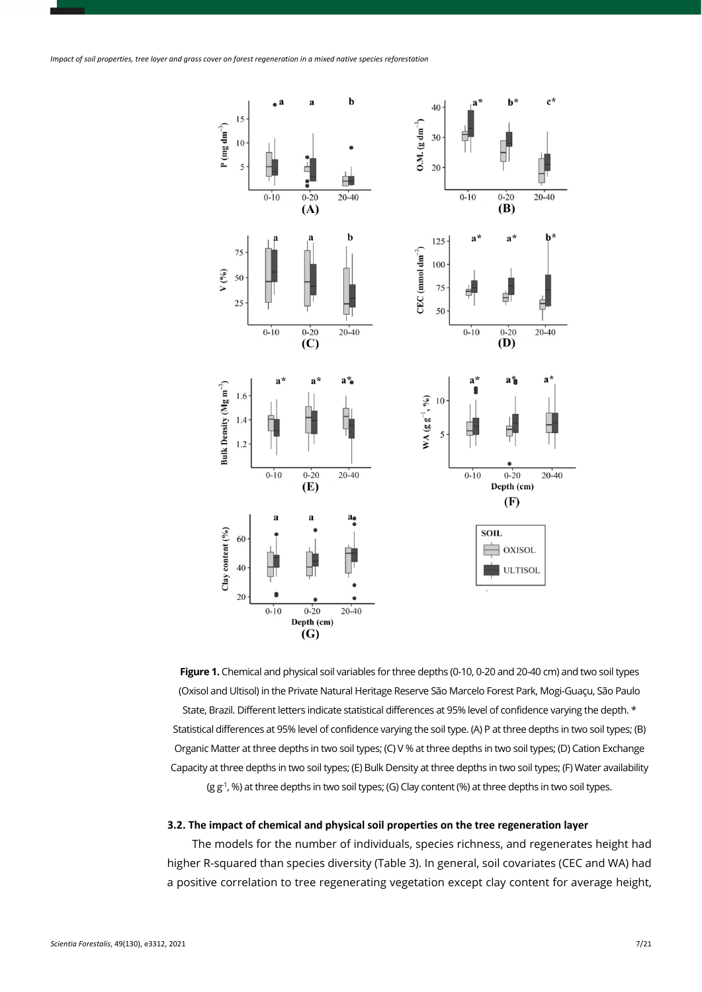

**Figure 1.** Chemical and physical soil variables for three depths (0-10, 0-20 and 20-40 cm) and two soil types (Oxisol and Ultisol) in the Private Natural Heritage Reserve São Marcelo Forest Park, Mogi-Guaçu, São Paulo State, Brazil. Different letters indicate statistical differences at 95% level of confidence varying the depth. \* Statistical differences at 95% level of confidence varying the soil type. (A) P at three depths in two soil types; (B) Organic Matter at three depths in two soil types; (C) V % at three depths in two soil types; (D) Cation Exchange Capacity at three depths in two soil types; (E) Bulk Density at three depths in two soil types; (F) Water availability (g g<sup>-1</sup>, %) at three depths in two soil types; (G) Clay content (%) at three depths in two soil types.

### **3.2. The impact of chemical and physical soil properties on the tree regeneration layer**

The models for the number of individuals, species richness, and regenerates height had higher R-squared than species diversity (Table 3). In general, soil covariates (CEC and WA) had a positive correlation to tree regenerating vegetation except clay content for average height,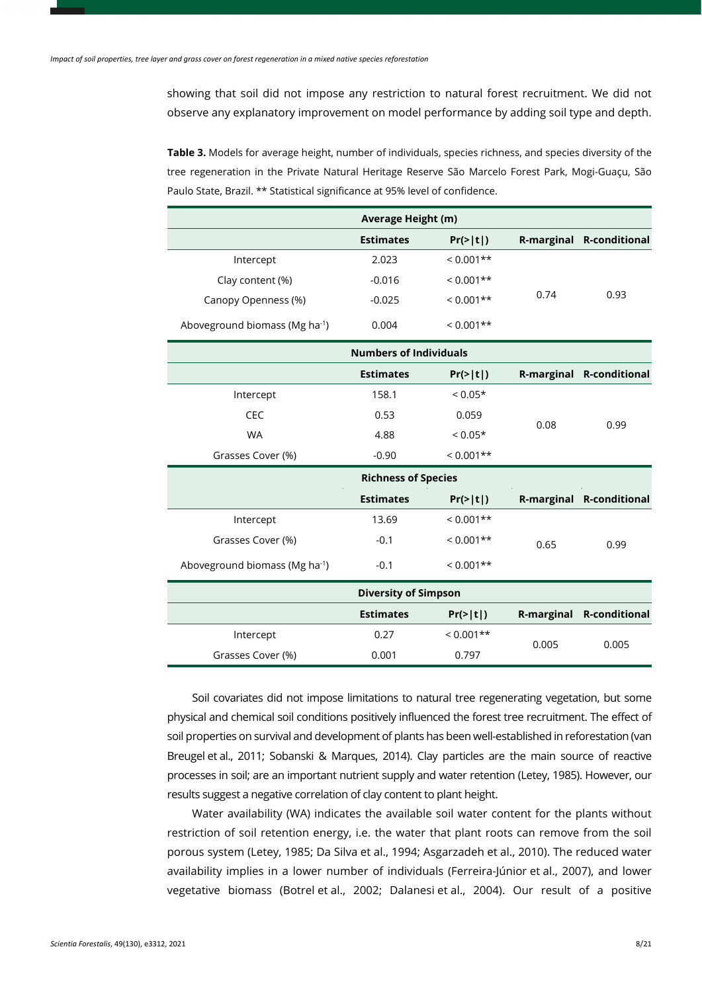showing that soil did not impose any restriction to natural forest recruitment. We did not observe any explanatory improvement on model performance by adding soil type and depth.

**Table 3.** Models for average height, number of individuals, species richness, and species diversity of the tree regeneration in the Private Natural Heritage Reserve São Marcelo Forest Park, Mogi-Guaçu, São Paulo State, Brazil. \*\* Statistical significance at 95% level of confidence.

| Average Height (m)                         |                               |             |                   |                          |  |  |  |  |  |  |  |
|--------------------------------------------|-------------------------------|-------------|-------------------|--------------------------|--|--|--|--|--|--|--|
|                                            | <b>Estimates</b><br>Pr(>  t ) |             | <b>R-marginal</b> | <b>R-conditional</b>     |  |  |  |  |  |  |  |
| Intercept                                  | 2.023                         | $< 0.001**$ |                   |                          |  |  |  |  |  |  |  |
| Clay content (%)                           | $-0.016$                      | $< 0.001**$ |                   |                          |  |  |  |  |  |  |  |
| Canopy Openness (%)                        | $-0.025$                      | $< 0.001**$ | 0.74              | 0.93                     |  |  |  |  |  |  |  |
| Aboveground biomass (Mg ha <sup>-1</sup> ) | 0.004                         | $< 0.001**$ |                   |                          |  |  |  |  |  |  |  |
|                                            | <b>Numbers of Individuals</b> |             |                   |                          |  |  |  |  |  |  |  |
|                                            | <b>Estimates</b>              | Pr(>  t )   |                   | R-marginal R-conditional |  |  |  |  |  |  |  |
| Intercept                                  | 158.1                         | $< 0.05*$   |                   |                          |  |  |  |  |  |  |  |
| <b>CEC</b>                                 | 0.53                          | 0.059       | 0.08              |                          |  |  |  |  |  |  |  |
| <b>WA</b>                                  | 4.88                          | $< 0.05*$   |                   | 0.99                     |  |  |  |  |  |  |  |
| Grasses Cover (%)                          | $-0.90$                       | $< 0.001**$ |                   |                          |  |  |  |  |  |  |  |
| <b>Richness of Species</b>                 |                               |             |                   |                          |  |  |  |  |  |  |  |
|                                            | <b>Estimates</b>              | Pr(>  t )   | <b>R-marginal</b> | <b>R-conditional</b>     |  |  |  |  |  |  |  |
| Intercept                                  | 13.69                         | $< 0.001**$ |                   |                          |  |  |  |  |  |  |  |
| Grasses Cover (%)                          | $-0.1$                        | $< 0.001**$ | 0.65              | 0.99                     |  |  |  |  |  |  |  |
| Aboveground biomass (Mg ha <sup>-1</sup> ) | $-0.1$                        | $< 0.001**$ |                   |                          |  |  |  |  |  |  |  |
|                                            | <b>Diversity of Simpson</b>   |             |                   |                          |  |  |  |  |  |  |  |
|                                            | <b>Estimates</b>              | Pr(>  t )   | <b>R-marginal</b> | <b>R-conditional</b>     |  |  |  |  |  |  |  |
| Intercept                                  | 0.27                          | $< 0.001**$ |                   |                          |  |  |  |  |  |  |  |
| Grasses Cover (%)                          | 0.001                         | 0.797       | 0.005             | 0.005                    |  |  |  |  |  |  |  |

Soil covariates did not impose limitations to natural tree regenerating vegetation, but some physical and chemical soil conditions positively influenced the forest tree recruitment. The effect of soil properties on survival and development of plants has been well-established in reforestation (van Breugel et al., 2011; Sobanski & Marques, 2014). Clay particles are the main source of reactive processes in soil; are an important nutrient supply and water retention (Letey, 1985). However, our results suggest a negative correlation of clay content to plant height.

Water availability (WA) indicates the available soil water content for the plants without restriction of soil retention energy, i.e. the water that plant roots can remove from the soil porous system (Letey, 1985; Da Silva et al., 1994; Asgarzadeh et al., 2010). The reduced water availability implies in a lower number of individuals (Ferreira-Júnior et al., 2007), and lower vegetative biomass (Botrel et al., 2002; Dalanesi et al., 2004). Our result of a positive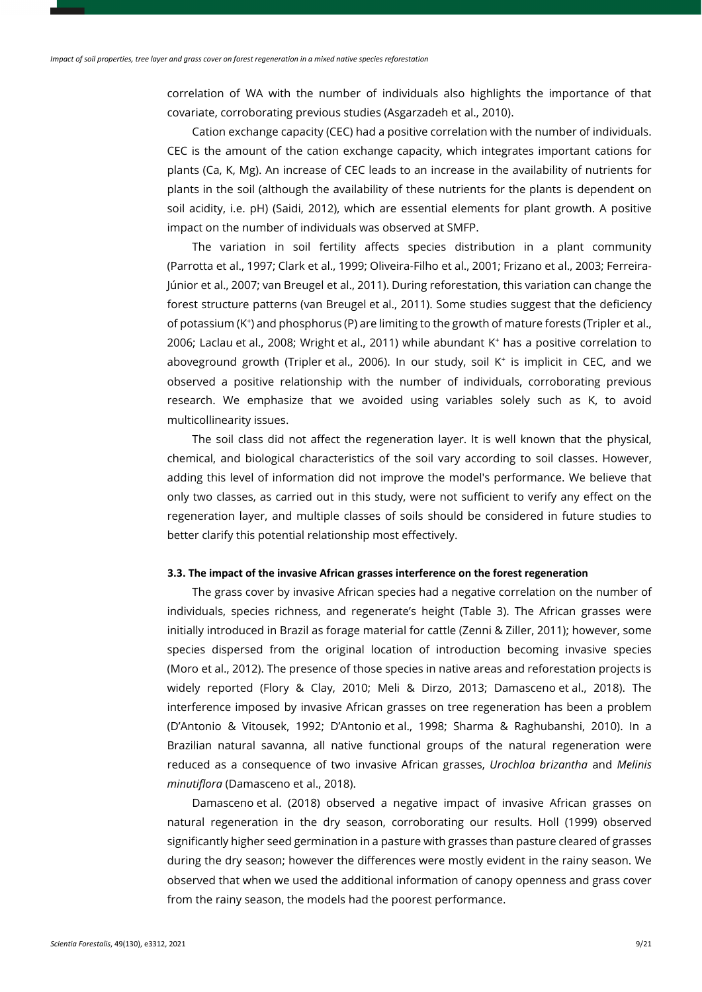correlation of WA with the number of individuals also highlights the importance of that covariate, corroborating previous studies (Asgarzadeh et al., 2010).

Cation exchange capacity (CEC) had a positive correlation with the number of individuals. CEC is the amount of the cation exchange capacity, which integrates important cations for plants (Ca, K, Mg). An increase of CEC leads to an increase in the availability of nutrients for plants in the soil (although the availability of these nutrients for the plants is dependent on soil acidity, i.e. pH) (Saidi, 2012), which are essential elements for plant growth. A positive impact on the number of individuals was observed at SMFP.

The variation in soil fertility affects species distribution in a plant community (Parrotta et al., 1997; Clark et al., 1999; Oliveira-Filho et al., 2001; Frizano et al., 2003; Ferreira-Júnior et al., 2007; van Breugel et al., 2011). During reforestation, this variation can change the forest structure patterns (van Breugel et al., 2011). Some studies suggest that the deficiency of potassium (K+ ) and phosphorus (P) are limiting to the growth of mature forests (Tripler et al., 2006; Laclau et al., 2008; Wright et al., 2011) while abundant K+ has a positive correlation to aboveground growth (Tripler et al., 2006). In our study, soil K<sup>+</sup> is implicit in CEC, and we observed a positive relationship with the number of individuals, corroborating previous research. We emphasize that we avoided using variables solely such as K, to avoid multicollinearity issues.

The soil class did not affect the regeneration layer. It is well known that the physical, chemical, and biological characteristics of the soil vary according to soil classes. However, adding this level of information did not improve the model's performance. We believe that only two classes, as carried out in this study, were not sufficient to verify any effect on the regeneration layer, and multiple classes of soils should be considered in future studies to better clarify this potential relationship most effectively.

# **3.3. The impact of the invasive African grasses interference on the forest regeneration**

The grass cover by invasive African species had a negative correlation on the number of individuals, species richness, and regenerate's height (Table 3). The African grasses were initially introduced in Brazil as forage material for cattle (Zenni & Ziller, 2011); however, some species dispersed from the original location of introduction becoming invasive species (Moro et al., 2012). The presence of those species in native areas and reforestation projects is widely reported (Flory & Clay, 2010; Meli & Dirzo, 2013; Damasceno et al., 2018). The interference imposed by invasive African grasses on tree regeneration has been a problem (D'Antonio & Vitousek, 1992; D'Antonio et al., 1998; Sharma & Raghubanshi, 2010). In a Brazilian natural savanna, all native functional groups of the natural regeneration were reduced as a consequence of two invasive African grasses, *Urochloa brizantha* and *Melinis minutiflora* (Damasceno et al., 2018).

Damasceno et al. (2018) observed a negative impact of invasive African grasses on natural regeneration in the dry season, corroborating our results. Holl (1999) observed significantly higher seed germination in a pasture with grasses than pasture cleared of grasses during the dry season; however the differences were mostly evident in the rainy season. We observed that when we used the additional information of canopy openness and grass cover from the rainy season, the models had the poorest performance.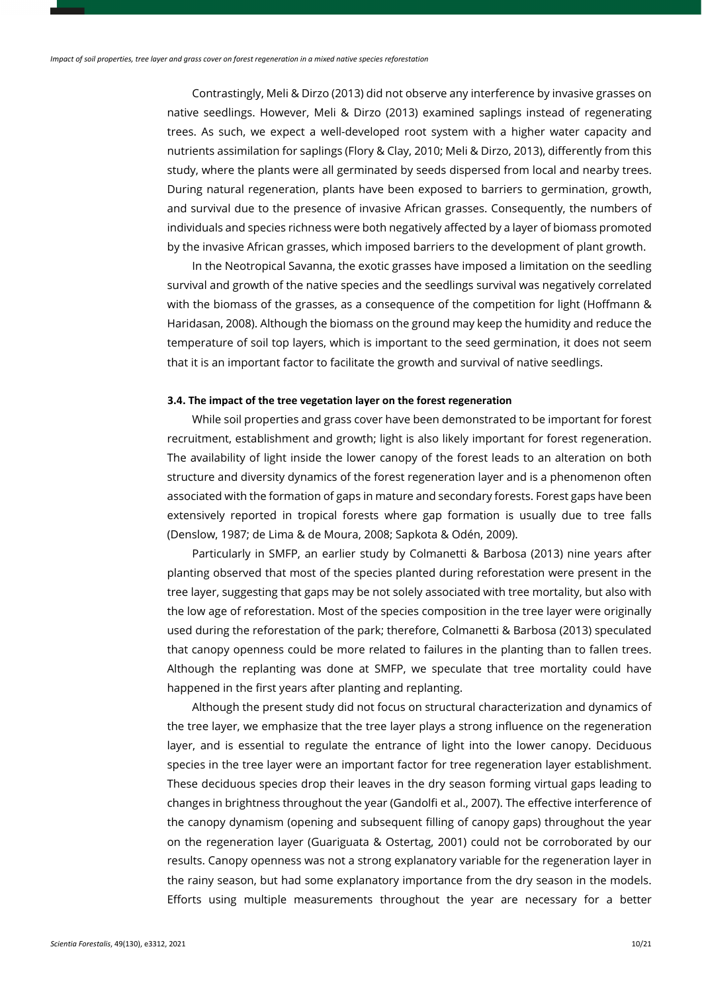Contrastingly, Meli & Dirzo (2013) did not observe any interference by invasive grasses on native seedlings. However, Meli & Dirzo (2013) examined saplings instead of regenerating trees. As such, we expect a well-developed root system with a higher water capacity and nutrients assimilation for saplings (Flory & Clay, 2010; Meli & Dirzo, 2013), differently from this study, where the plants were all germinated by seeds dispersed from local and nearby trees. During natural regeneration, plants have been exposed to barriers to germination, growth, and survival due to the presence of invasive African grasses. Consequently, the numbers of individuals and species richness were both negatively affected by a layer of biomass promoted by the invasive African grasses, which imposed barriers to the development of plant growth.

In the Neotropical Savanna, the exotic grasses have imposed a limitation on the seedling survival and growth of the native species and the seedlings survival was negatively correlated with the biomass of the grasses, as a consequence of the competition for light (Hoffmann & Haridasan, 2008). Although the biomass on the ground may keep the humidity and reduce the temperature of soil top layers, which is important to the seed germination, it does not seem that it is an important factor to facilitate the growth and survival of native seedlings.

#### **3.4. The impact of the tree vegetation layer on the forest regeneration**

While soil properties and grass cover have been demonstrated to be important for forest recruitment, establishment and growth; light is also likely important for forest regeneration. The availability of light inside the lower canopy of the forest leads to an alteration on both structure and diversity dynamics of the forest regeneration layer and is a phenomenon often associated with the formation of gaps in mature and secondary forests. Forest gaps have been extensively reported in tropical forests where gap formation is usually due to tree falls (Denslow, 1987; de Lima & de Moura, 2008; Sapkota & Odén, 2009).

Particularly in SMFP, an earlier study by Colmanetti & Barbosa (2013) nine years after planting observed that most of the species planted during reforestation were present in the tree layer, suggesting that gaps may be not solely associated with tree mortality, but also with the low age of reforestation. Most of the species composition in the tree layer were originally used during the reforestation of the park; therefore, Colmanetti & Barbosa (2013) speculated that canopy openness could be more related to failures in the planting than to fallen trees. Although the replanting was done at SMFP, we speculate that tree mortality could have happened in the first years after planting and replanting.

Although the present study did not focus on structural characterization and dynamics of the tree layer, we emphasize that the tree layer plays a strong influence on the regeneration layer, and is essential to regulate the entrance of light into the lower canopy. Deciduous species in the tree layer were an important factor for tree regeneration layer establishment. These deciduous species drop their leaves in the dry season forming virtual gaps leading to changes in brightness throughout the year (Gandolfi et al., 2007). The effective interference of the canopy dynamism (opening and subsequent filling of canopy gaps) throughout the year on the regeneration layer (Guariguata & Ostertag, 2001) could not be corroborated by our results. Canopy openness was not a strong explanatory variable for the regeneration layer in the rainy season, but had some explanatory importance from the dry season in the models. Efforts using multiple measurements throughout the year are necessary for a better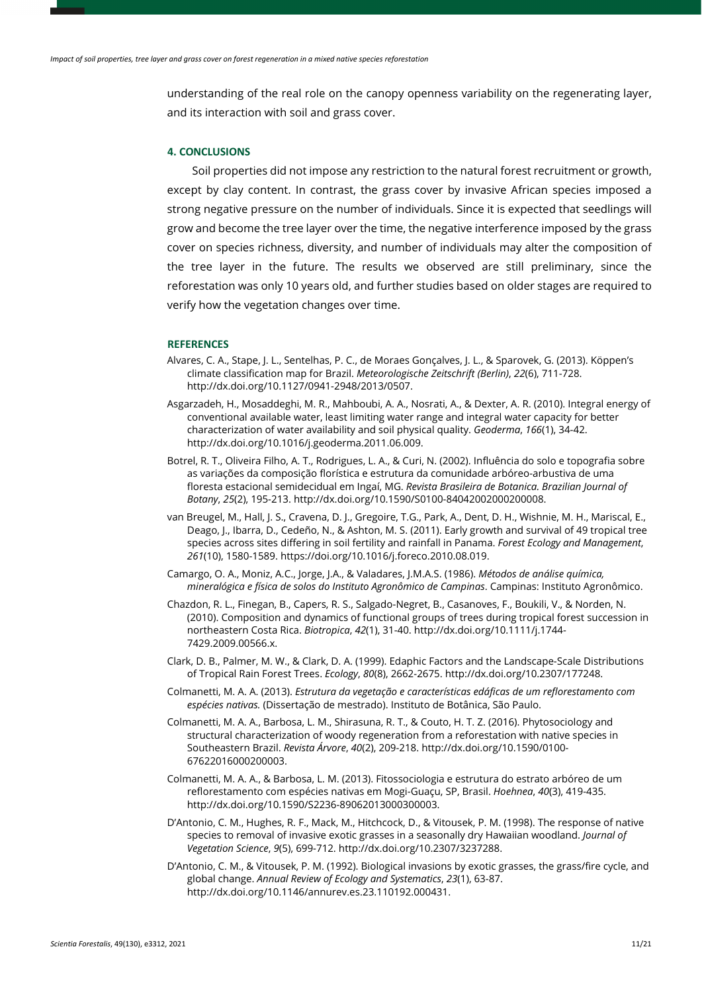understanding of the real role on the canopy openness variability on the regenerating layer, and its interaction with soil and grass cover.

### **4. CONCLUSIONS**

Soil properties did not impose any restriction to the natural forest recruitment or growth, except by clay content. In contrast, the grass cover by invasive African species imposed a strong negative pressure on the number of individuals. Since it is expected that seedlings will grow and become the tree layer over the time, the negative interference imposed by the grass cover on species richness, diversity, and number of individuals may alter the composition of the tree layer in the future. The results we observed are still preliminary, since the reforestation was only 10 years old, and further studies based on older stages are required to verify how the vegetation changes over time.

### **REFERENCES**

- Alvares, C. A., Stape, J. L., Sentelhas, P. C., de Moraes Gonçalves, J. L., & Sparovek, G. (2013). Köppen's climate classification map for Brazil. *Meteorologische Zeitschrift (Berlin)*, *22*(6), 711-728. [http://dx.doi.org/10.1127/0941-2948/2013/0507.](https://doi.org/10.1127/0941-2948/2013/0507)
- Asgarzadeh, H., Mosaddeghi, M. R., Mahboubi, A. A., Nosrati, A., & Dexter, A. R. (2010). Integral energy of conventional available water, least limiting water range and integral water capacity for better characterization of water availability and soil physical quality. *Geoderma*, *166*(1), 34-42. [http://dx.doi.org/10.1016/j.geoderma.2011.06.009.](https://doi.org/10.1016/j.geoderma.2011.06.009)
- Botrel, R. T., Oliveira Filho, A. T., Rodrigues, L. A., & Curi, N. (2002). Influência do solo e topografia sobre as variações da composição florística e estrutura da comunidade arbóreo-arbustiva de uma floresta estacional semidecidual em Ingaí, MG. *Revista Brasileira de Botanica. Brazilian Journal of Botany*, *25*(2), 195-213[. http://dx.doi.org/10.1590/S0100-84042002000200008.](https://doi.org/10.1590/S0100-84042002000200008)
- van Breugel, M., Hall, J. S., Cravena, D. J., Gregoire, T.G., Park, A., Dent, D. H., Wishnie, M. H., Mariscal, E., Deago, J., Ibarra, D., Cedeño, N., & Ashton, M. S. (2011). Early growth and survival of 49 tropical tree species across sites differing in soil fertility and rainfall in Panama. *Forest Ecology and Management*, *261*(10), 1580-1589. https://doi.org/10.1016/j.foreco.2010.08.019.
- Camargo, O. A., Moniz, A.C., Jorge, J.A., & Valadares, J.M.A.S. (1986). *Métodos de análise química, mineralógica e física de solos do Instituto Agronômico de Campinas*. Campinas: Instituto Agronômico.
- Chazdon, R. L., Finegan, B., Capers, R. S., Salgado-Negret, B., Casanoves, F., Boukili, V., & Norden, N. (2010). Composition and dynamics of functional groups of trees during tropical forest succession in northeastern Costa Rica. *Biotropica*, *42*(1), 31-40[. http://dx.doi.org/10.1111/j.1744-](https://doi.org/10.1111/j.1744-7429.2009.00566.x) [7429.2009.00566.x.](https://doi.org/10.1111/j.1744-7429.2009.00566.x)
- Clark, D. B., Palmer, M. W., & Clark, D. A. (1999). Edaphic Factors and the Landscape-Scale Distributions of Tropical Rain Forest Trees. *Ecology*, *80*(8), 2662-2675. http://dx.doi.org/10.2307/177248.
- Colmanetti, M. A. A. (2013). *Estrutura da vegetação e características edáficas de um reflorestamento com espécies nativas.* (Dissertação de mestrado). Instituto de Botânica, São Paulo.
- Colmanetti, M. A. A., Barbosa, L. M., Shirasuna, R. T., & Couto, H. T. Z. (2016). Phytosociology and structural characterization of woody regeneration from a reforestation with native species in Southeastern Brazil. *Revista Árvore*, *40*(2), 209-218[. http://dx.doi.org/10.1590/0100-](https://doi.org/10.1590/0100-67622016000200003) [67622016000200003.](https://doi.org/10.1590/0100-67622016000200003)
- Colmanetti, M. A. A., & Barbosa, L. M. (2013). Fitossociologia e estrutura do estrato arbóreo de um reflorestamento com espécies nativas em Mogi-Guaçu, SP, Brasil. *Hoehnea*, *40*(3), 419-435. [http://dx.doi.org/10.1590/S2236-89062013000300003.](https://doi.org/10.1590/S2236-89062013000300003)
- D'Antonio, C. M., Hughes, R. F., Mack, M., Hitchcock, D., & Vitousek, P. M. (1998). The response of native species to removal of invasive exotic grasses in a seasonally dry Hawaiian woodland. *Journal of Vegetation Science*, *9*(5), 699-712[. http://dx.doi.org/10.2307/3237288.](https://doi.org/10.2307/3237288)
- D'Antonio, C. M., & Vitousek, P. M. (1992). Biological invasions by exotic grasses, the grass/fire cycle, and global change. *Annual Review of Ecology and Systematics*, *23*(1), 63-87. [http://dx.doi.org/10.1146/annurev.es.23.110192.000431.](https://doi.org/10.1146/annurev.es.23.110192.000431)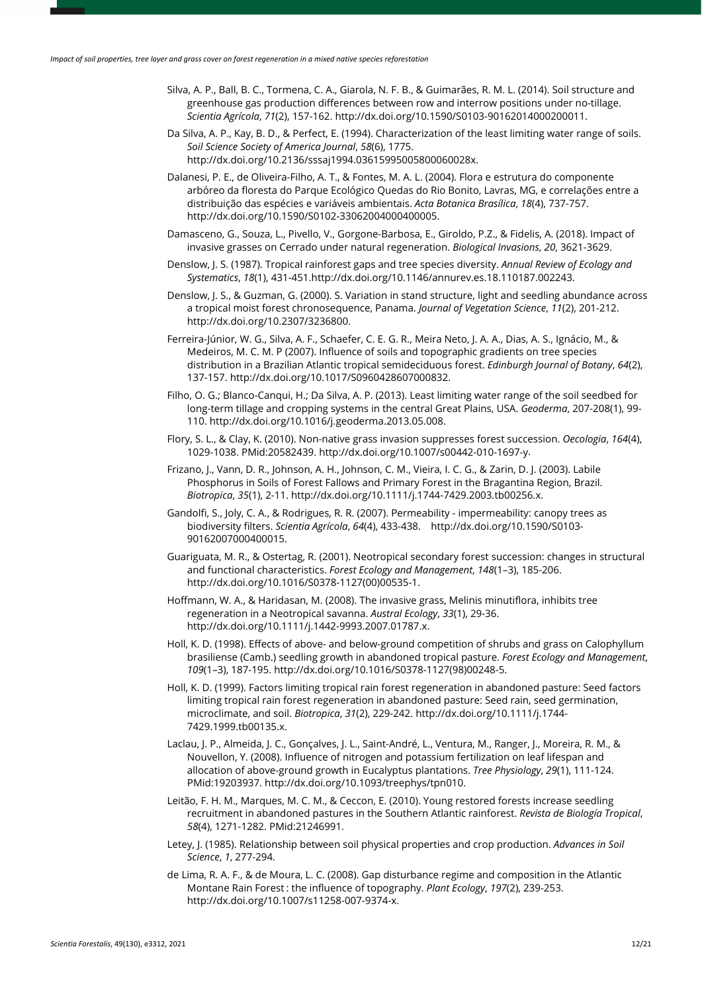- Silva, A. P., Ball, B. C., Tormena, C. A., Giarola, N. F. B., & Guimarães, R. M. L. (2014). Soil structure and greenhouse gas production differences between row and interrow positions under no-tillage. *Scientia Agrícola*, *71*(2), 157-162[. http://dx.doi.org/10.1590/S0103-90162014000200011.](https://doi.org/10.1590/S0103-90162014000200011)
- Da Silva, A. P., Kay, B. D., & Perfect, E. (1994). Characterization of the least limiting water range of soils. *Soil Science Society of America Journal*, *58*(6), 1775. [http://dx.doi.org/10.2136/sssaj1994.03615995005800060028x.](https://doi.org/10.2136/sssaj1994.03615995005800060028x)
- Dalanesi, P. E., de Oliveira-Filho, A. T., & Fontes, M. A. L. (2004). Flora e estrutura do componente arbóreo da floresta do Parque Ecológico Quedas do Rio Bonito, Lavras, MG, e correlações entre a distribuição das espécies e variáveis ambientais. *Acta Botanica Brasílica*, *18*(4), 737-757. [http://dx.doi.org/10.1590/S0102-33062004000400005.](https://doi.org/10.1590/S0102-33062004000400005)
- Damasceno, G., Souza, L., Pivello, V., Gorgone-Barbosa, E., Giroldo, P.Z., & Fidelis, A. (2018). Impact of invasive grasses on Cerrado under natural regeneration. *Biological Invasions*, *20*, 3621-3629.
- Denslow, J. S. (1987). Tropical rainforest gaps and tree species diversity. *Annual Review of Ecology and Systematics*, *18*(1), 431-451[.http://dx.doi.org/10.1146/annurev.es.18.110187.002243.](https://doi.org/10.1146/annurev.es.18.110187.002243)
- Denslow, J. S., & Guzman, G. (2000). S. Variation in stand structure, light and seedling abundance across a tropical moist forest chronosequence, Panama. *Journal of Vegetation Science*, *11*(2), 201-212. [http://dx.doi.org/10.2307/3236800.](https://doi.org/10.2307/3236800)
- Ferreira-Júnior, W. G., Silva, A. F., Schaefer, C. E. G. R., Meira Neto, J. A. A., Dias, A. S., Ignácio, M., & Medeiros, M. C. M. P (2007). Influence of soils and topographic gradients on tree species distribution in a Brazilian Atlantic tropical semideciduous forest. *Edinburgh Journal of Botany*, *64*(2), 137-157. [http://dx.doi.org/10.1017/S0960428607000832.](https://doi.org/10.1017/S0960428607000832)
- Filho, O. G.; Blanco-Canqui, H.; Da Silva, A. P. (2013). Least limiting water range of the soil seedbed for long-term tillage and cropping systems in the central Great Plains, USA. *Geoderma*, 207-208(1), 99- 110. http://dx.doi.org/10.1016/j.geoderma.2013.05.008.
- Flory, S. L., & Clay, K. (2010). Non-native grass invasion suppresses forest succession. *Oecologia*, *164*(4), 1029-1038. [PMid:20582439.](https://www.ncbi.nlm.nih.gov/entrez/query.fcgi?cmd=Retrieve&db=PubMed&list_uids=20582439&dopt=Abstract) [http://dx.doi.org/10.1007/s00442-010-1697-y.](https://doi.org/10.1007/s00442-010-1697-y)
- Frizano, J., Vann, D. R., Johnson, A. H., Johnson, C. M., Vieira, I. C. G., & Zarin, D. J. (2003). Labile Phosphorus in Soils of Forest Fallows and Primary Forest in the Bragantina Region, Brazil. *Biotropica*, *35*(1), 2-11. [http://dx.doi.org/10.1111/j.1744-7429.2003.tb00256.x.](https://doi.org/10.1111/j.1744-7429.2003.tb00256.x)
- Gandolfi, S., Joly, C. A., & Rodrigues, R. R. (2007). Permeability impermeability: canopy trees as biodiversity filters. *Scientia Agrícola*, *64*(4), 433-438. [http://dx.doi.org/10.1590/S0103-](https://doi.org/10.1590/S0103-90162007000400015) [90162007000400015.](https://doi.org/10.1590/S0103-90162007000400015)
- Guariguata, M. R., & Ostertag, R. (2001). Neotropical secondary forest succession: changes in structural and functional characteristics. *Forest Ecology and Management*, *148*(1–3), 185-206. [http://dx.doi.org/10.1016/S0378-1127\(00\)00535-1.](https://doi.org/10.1016/S0378-1127(00)00535-1)
- Hoffmann, W. A., & Haridasan, M. (2008). The invasive grass, Melinis minutiflora, inhibits tree regeneration in a Neotropical savanna. *Austral Ecology*, *33*(1), 29-36. [http://dx.doi.org/10.1111/j.1442-9993.2007.01787.x.](https://doi.org/10.1111/j.1442-9993.2007.01787.x)
- Holl, K. D. (1998). Effects of above- and below-ground competition of shrubs and grass on Calophyllum brasiliense (Camb.) seedling growth in abandoned tropical pasture. *Forest Ecology and Management*, *109*(1–3), 187-195[. http://dx.doi.org/10.1016/S0378-1127\(98\)00248-5.](https://doi.org/10.1016/S0378-1127(98)00248-5)
- Holl, K. D. (1999). Factors limiting tropical rain forest regeneration in abandoned pasture: Seed factors limiting tropical rain forest regeneration in abandoned pasture: Seed rain, seed germination, microclimate, and soil. *Biotropica*, *31*(2), 229-242[. http://dx.doi.org/10.1111/j.1744-](https://doi.org/10.1111/j.1744-7429.1999.tb00135.x) [7429.1999.tb00135.x.](https://doi.org/10.1111/j.1744-7429.1999.tb00135.x)
- Laclau, J. P., Almeida, J. C., Gonçalves, J. L., Saint-André, L., Ventura, M., Ranger, J., Moreira, R. M., & Nouvellon, Y. (2008). Influence of nitrogen and potassium fertilization on leaf lifespan and allocation of above-ground growth in Eucalyptus plantations. *Tree Physiology*, *29*(1), 111-124[.](https://www.ncbi.nlm.nih.gov/entrez/query.fcgi?cmd=Retrieve&db=PubMed&list_uids=19203937&dopt=Abstract) [PMid:19203937.](https://www.ncbi.nlm.nih.gov/entrez/query.fcgi?cmd=Retrieve&db=PubMed&list_uids=19203937&dopt=Abstract) [http://dx.doi.org/10.1093/treephys/tpn010.](https://doi.org/10.1093/treephys/tpn010)
- Leitão, F. H. M., Marques, M. C. M., & Ceccon, E. (2010). Young restored forests increase seedling recruitment in abandoned pastures in the Southern Atlantic rainforest. *Revista de Biología Tropical*, *58*(4), 1271-1282. [PMid:21246991.](https://www.ncbi.nlm.nih.gov/entrez/query.fcgi?cmd=Retrieve&db=PubMed&list_uids=21246991&dopt=Abstract)
- Letey, J. (1985). Relationship between soil physical properties and crop production. *Advances in Soil Science*, *1*, 277-294.
- de Lima, R. A. F., & de Moura, L. C. (2008). Gap disturbance regime and composition in the Atlantic Montane Rain Forest : the influence of topography. *Plant Ecology*, *197*(2), 239-253. [http://dx.doi.org/10.1007/s11258-007-9374-x.](https://doi.org/10.1007/s11258-007-9374-x)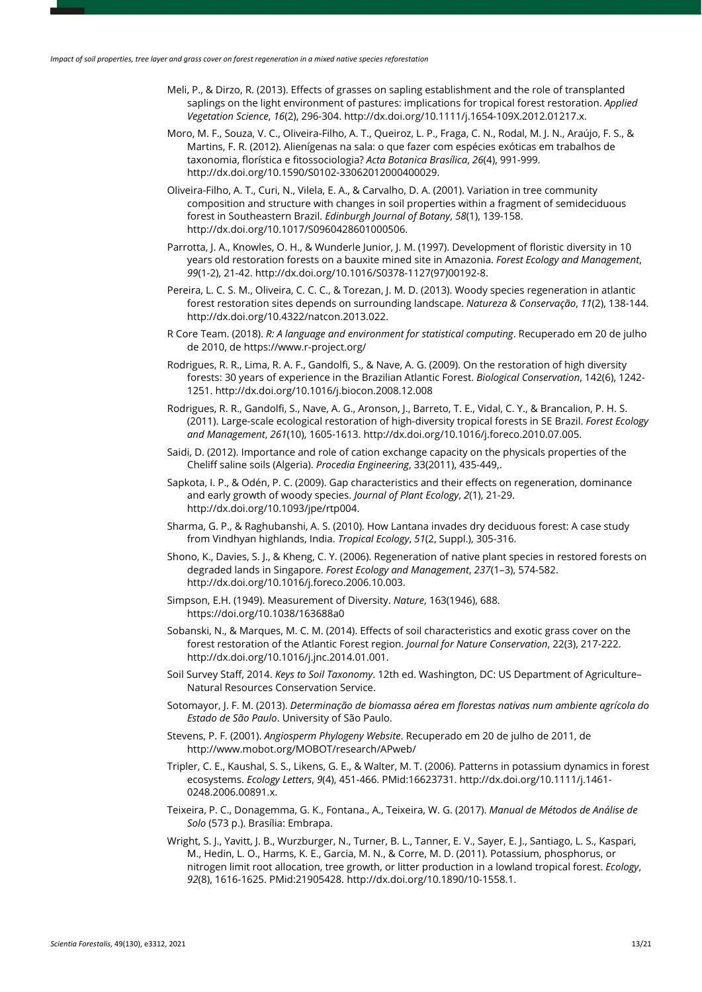- Meli, P., & Dirzo, R. (2013). Effects of grasses on sapling establishment and the role of transplanted saplings on the light environment of pastures: implications for tropical forest restoration. *Applied Vegetation Science*, *16*(2), 296-304. [http://dx.doi.org/10.1111/j.1654-109X.2012.01217.x.](https://doi.org/10.1111/j.1654-109X.2012.01217.x)
- Moro, M. F., Souza, V. C., Oliveira-Filho, A. T., Queiroz, L. P., Fraga, C. N., Rodal, M. J. N., Araújo, F. S., & Martins, F. R. (2012). Alienígenas na sala: o que fazer com espécies exóticas em trabalhos de taxonomia, florística e fitossociologia? *Acta Botanica Brasílica*, *26*(4), 991-999. [http://dx.doi.org/10.1590/S0102-33062012000400029.](https://doi.org/10.1590/S0102-33062012000400029)
- Oliveira-Filho, A. T., Curi, N., Vilela, E. A., & Carvalho, D. A. (2001). Variation in tree community composition and structure with changes in soil properties within a fragment of semideciduous forest in Southeastern Brazil. *Edinburgh Journal of Botany*, *58*(1), 139-158. [http://dx.doi.org/10.1017/S0960428601000506.](https://doi.org/10.1017/S0960428601000506)
- Parrotta, J. A., Knowles, O. H., & Wunderle Junior, J. M. (1997). Development of floristic diversity in 10 years old restoration forests on a bauxite mined site in Amazonia. *Forest Ecology and Management*, *99*(1-2), 21-42[. http://dx.doi.org/10.1016/S0378-1127\(97\)00192-8.](https://doi.org/10.1016/S0378-1127(97)00192-8)
- Pereira, L. C. S. M., Oliveira, C. C. C., & Torezan, J. M. D. (2013). Woody species regeneration in atlantic forest restoration sites depends on surrounding landscape. *Natureza & Conservação*, *11*(2), 138-144. [http://dx.doi.org/10.4322/natcon.2013.022.](https://doi.org/10.4322/natcon.2013.022)
- R Core Team. (2018). *R: A language and environment for statistical computing*. Recuperado em 20 de julho de 2010, de https://www.r-project.org/
- Rodrigues, R. R., Lima, R. A. F., Gandolfi, S., & Nave, A. G. (2009). On the restoration of high diversity forests: 30 years of experience in the Brazilian Atlantic Forest. *Biological Conservation*, 142(6), 1242- 1251. http://dx.doi.org/10.1016/j.biocon.2008.12.008
- Rodrigues, R. R., Gandolfi, S., Nave, A. G., Aronson, J., Barreto, T. E., Vidal, C. Y., & Brancalion, P. H. S. (2011). Large-scale ecological restoration of high-diversity tropical forests in SE Brazil. *Forest Ecology and Management*, *261*(10), 1605-1613[. http://dx.doi.org/10.1016/j.foreco.2010.07.005.](https://doi.org/10.1016/j.foreco.2010.07.005)
- Saidi, D. (2012). Importance and role of cation exchange capacity on the physicals properties of the Cheliff saline soils (Algeria). *Procedia Engineering*, 33(2011), 435-449,.
- Sapkota, I. P., & Odén, P. C. (2009). Gap characteristics and their effects on regeneration, dominance and early growth of woody species. *Journal of Plant Ecology*, *2*(1), 21-29. [http://dx.doi.org/10.1093/jpe/rtp004.](https://doi.org/10.1093/jpe/rtp004)
- Sharma, G. P., & Raghubanshi, A. S. (2010). How Lantana invades dry deciduous forest: A case study from Vindhyan highlands, India. *Tropical Ecology*, *51*(2, Suppl.), 305-316.
- Shono, K., Davies, S. J., & Kheng, C. Y. (2006). Regeneration of native plant species in restored forests on degraded lands in Singapore. *Forest Ecology and Management*, *237*(1–3), 574-582. [http://dx.doi.org/10.1016/j.foreco.2006.10.003.](https://doi.org/10.1016/j.foreco.2006.10.003)
- Simpson, E.H. (1949). Measurement of Diversity. *Nature*, 163(1946), 688. https://doi.org/10.1038/163688a0
- Sobanski, N., & Marques, M. C. M. (2014). Effects of soil characteristics and exotic grass cover on the forest restoration of the Atlantic Forest region. *Journal for Nature Conservation*, 22(3), 217-222. http://dx.doi.org/10.1016/j.jnc.2014.01.001.
- Soil Survey Staff, 2014. *Keys to Soil Taxonomy*. 12th ed. Washington, DC: US Department of Agriculture– Natural Resources Conservation Service.
- Sotomayor, J. F. M. (2013). *Determinação de biomassa aérea em florestas nativas num ambiente agrícola do Estado de São Paulo*. University of São Paulo.
- Stevens, P. F. (2001). *Angiosperm Phylogeny Website*. Recuperado em 20 de julho de 2011, de http://www.mobot.org/MOBOT/research/APweb/
- Tripler, C. E., Kaushal, S. S., Likens, G. E., & Walter, M. T. (2006). Patterns in potassium dynamics in forest ecosystems. *Ecology Letters*, *9*(4), 451-466. [PMid:16623731.](https://www.ncbi.nlm.nih.gov/entrez/query.fcgi?cmd=Retrieve&db=PubMed&list_uids=16623731&dopt=Abstract) [http://dx.doi.org/10.1111/j.1461-](https://doi.org/10.1111/j.1461-0248.2006.00891.x) [0248.2006.00891.x.](https://doi.org/10.1111/j.1461-0248.2006.00891.x)
- Teixeira, P. C., Donagemma, G. K., Fontana., A., Teixeira, W. G. (2017). *Manual de Métodos de Análise de Solo* (573 p.). Brasília: Embrapa.
- Wright, S. J., Yavitt, J. B., Wurzburger, N., Turner, B. L., Tanner, E. V., Sayer, E. J., Santiago, L. S., Kaspari, M., Hedin, L. O., Harms, K. E., Garcia, M. N., & Corre, M. D. (2011). Potassium, phosphorus, or nitrogen limit root allocation, tree growth, or litter production in a lowland tropical forest. *Ecology*, *92*(8), 1616-1625. [PMid:21905428.](https://www.ncbi.nlm.nih.gov/entrez/query.fcgi?cmd=Retrieve&db=PubMed&list_uids=21905428&dopt=Abstract) [http://dx.doi.org/10.1890/10-1558.1.](https://doi.org/10.1890/10-1558.1)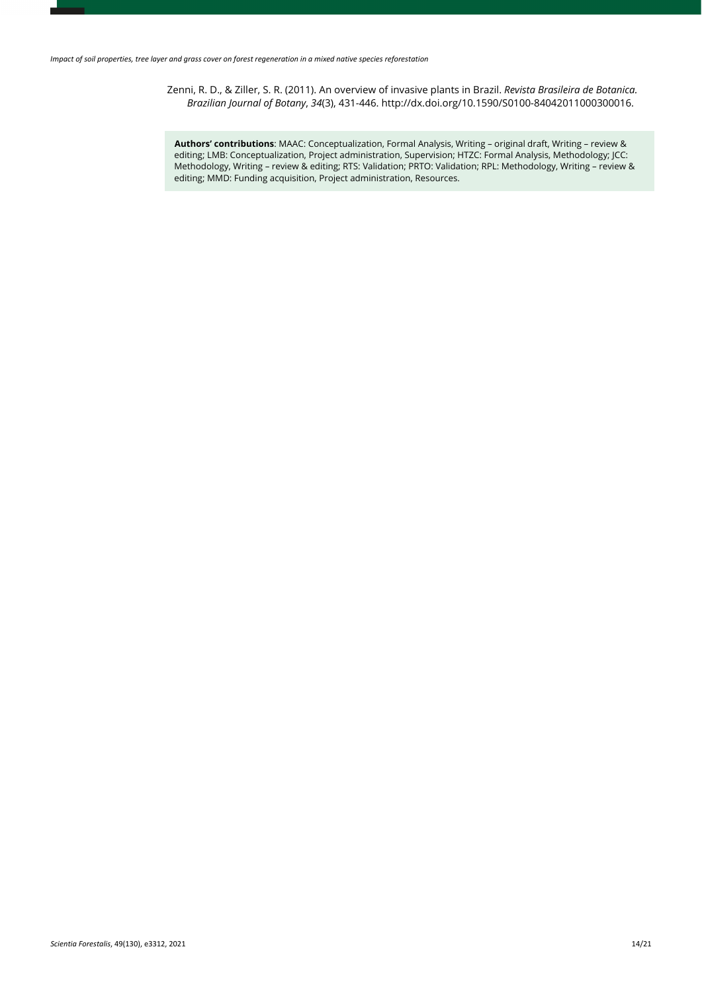Zenni, R. D., & Ziller, S. R. (2011). An overview of invasive plants in Brazil. *Revista Brasileira de Botanica. Brazilian Journal of Botany*, *34*(3), 431-446[. http://dx.doi.org/10.1590/S0100-84042011000300016.](https://doi.org/10.1590/S0100-84042011000300016)

**Authors' contributions**: MAAC: Conceptualization, Formal Analysis, Writing – original draft, Writing – review & editing; LMB: Conceptualization, Project administration, Supervision; HTZC: Formal Analysis, Methodology; JCC: Methodology, Writing – review & editing; RTS: Validation; PRTO: Validation; RPL: Methodology, Writing – review & editing; MMD: Funding acquisition, Project administration, Resources.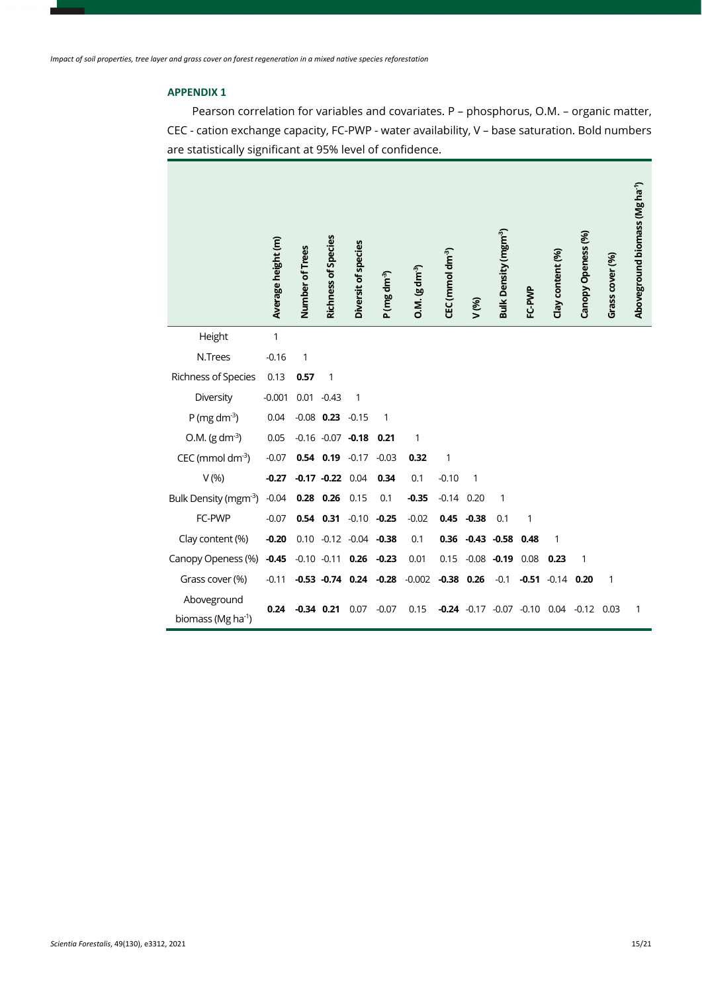# **APPENDIX 1**

Pearson correlation for variables and covariates. P – phosphorus, O.M. – organic matter, CEC - cation exchange capacity, FC-PWP - water availability, V – base saturation. Bold numbers are statistically significant at 95% level of confidence.

|                                | Average height (m) | Number of Trees | <b>Richness of Species</b> | Diversit of species           | P (mg dm <sup>-3</sup> ) | $O.M. (g dm-3)$ | CEC (mmol dm <sup>-3</sup> ) | V (%)        | Bulk Density (mgm <sup>-3</sup> ) | FC-PWP  | Clay content (%) | Canopy Openess (%) | Grass cover (%) | Aboveground biomass (Mg ha <sup>-1</sup> ) |
|--------------------------------|--------------------|-----------------|----------------------------|-------------------------------|--------------------------|-----------------|------------------------------|--------------|-----------------------------------|---------|------------------|--------------------|-----------------|--------------------------------------------|
| Height                         | 1                  |                 |                            |                               |                          |                 |                              |              |                                   |         |                  |                    |                 |                                            |
| N.Trees                        | $-0.16$            | 1               |                            |                               |                          |                 |                              |              |                                   |         |                  |                    |                 |                                            |
| Richness of Species            | 0.13               | 0.57            | 1                          |                               |                          |                 |                              |              |                                   |         |                  |                    |                 |                                            |
| Diversity                      | $-0.001$           |                 | $0.01 - 0.43$              | 1                             |                          |                 |                              |              |                                   |         |                  |                    |                 |                                            |
| P (mg dm $^{-3}$ )             | 0.04               |                 | $-0.08$ 0.23 $-0.15$       |                               | 1                        |                 |                              |              |                                   |         |                  |                    |                 |                                            |
| $O.M. (g dm-3)$                | 0.05               |                 | $-0.16 - 0.07 -0.18$       |                               | 0.21                     | 1               |                              |              |                                   |         |                  |                    |                 |                                            |
| CEC (mmol dm <sup>-3</sup> )   | $-0.07$            |                 | $0.54$ 0.19 $-0.17$        |                               | $-0.03$                  | 0.32            | 1                            |              |                                   |         |                  |                    |                 |                                            |
| $V(\%)$                        | $-0.27$            |                 | $-0.17 -0.22$ 0.04         |                               | 0.34                     | 0.1             | $-0.10$                      | $\mathbf{1}$ |                                   |         |                  |                    |                 |                                            |
| Bulk Density (mgm-3)           | $-0.04$            |                 | $0.28$ 0.26                | 0.15                          | 0.1                      | $-0.35$         | $-0.14$                      | 0.20         | 1                                 |         |                  |                    |                 |                                            |
| FC-PWP                         | $-0.07$            |                 |                            | $0.54$ $0.31$ $-0.10$ $-0.25$ |                          | $-0.02$         | 0.45                         | $-0.38$      | 0.1                               | 1       |                  |                    |                 |                                            |
| Clay content (%)               | $-0.20$            |                 |                            | $0.10 -0.12 -0.04 -0.38$      |                          | 0.1             | 0.36                         |              | $-0.43 -0.58$                     | 0.48    | 1                |                    |                 |                                            |
| Canopy Openess (%)             | $-0.45$            |                 | $-0.10 -0.11$ 0.26         |                               | $-0.23$                  | 0.01            | 0.15                         | $-0.08$      | $-0.19$                           | 0.08    | 0.23             | 1                  |                 |                                            |
| Grass cover (%)                | $-0.11$            |                 |                            | $-0.53 -0.74$ 0.24            | $-0.28$                  | $-0.002$        | $-0.38$ 0.26                 |              | $-0.1$                            | $-0.51$ | $-0.14$          | 0.20               | $\mathbf{1}$    |                                            |
| Aboveground                    | 0.24               | $-0.34$         | 0.21                       | 0.07                          | $-0.07$                  | 0.15            | $-0.24$                      | $-0.17$      | $-0.07$                           | $-0.10$ | 0.04             | $-0.12$            | 0.03            | 1                                          |
| biomass (Mg ha <sup>-1</sup> ) |                    |                 |                            |                               |                          |                 |                              |              |                                   |         |                  |                    |                 |                                            |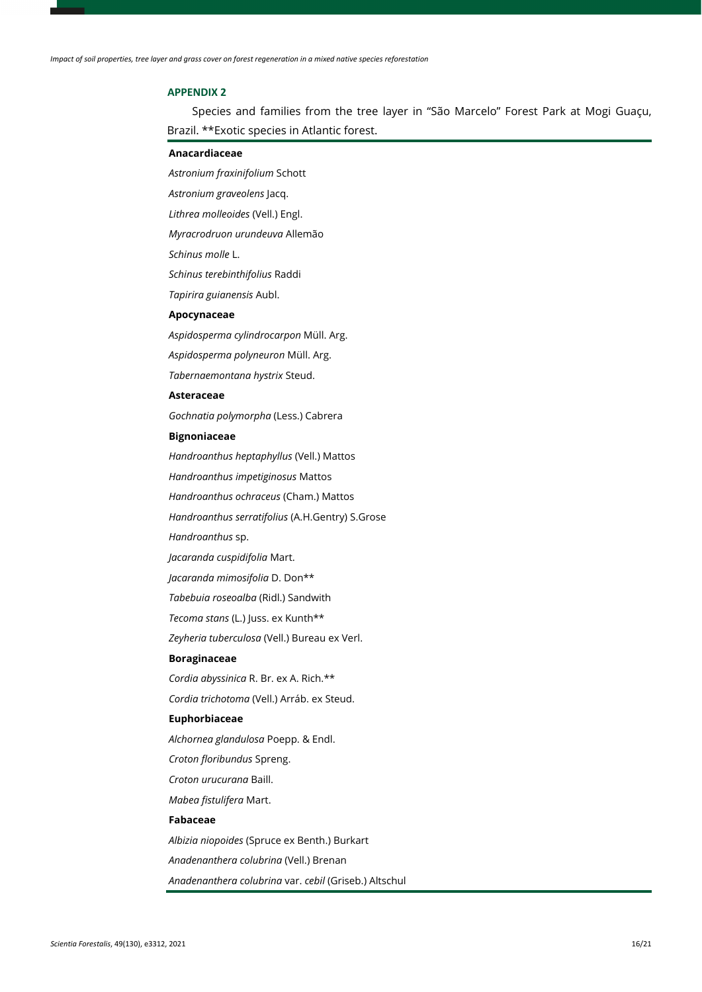#### **APPENDIX 2**

Species and families from the tree layer in "São Marcelo" Forest Park at Mogi Guaçu, Brazil. \*\*Exotic species in Atlantic forest.

### **Anacardiaceae**

*Astronium fraxinifolium* Schott

*Astronium graveolens* Jacq.

*Lithrea molleoides* (Vell.) Engl.

*Myracrodruon urundeuva* Allemão

*Schinus molle* L.

*Schinus terebinthifolius* Raddi

*Tapirira guianensis* Aubl.

### **Apocynaceae**

*Aspidosperma cylindrocarpon* Müll. Arg.

*Aspidosperma polyneuron* Müll. Arg.

*Tabernaemontana hystrix* Steud.

#### **Asteraceae**

*Gochnatia polymorpha* (Less.) Cabrera

#### **Bignoniaceae**

*Handroanthus heptaphyllus* (Vell.) Mattos

*Handroanthus impetiginosus* Mattos

*Handroanthus ochraceus* (Cham.) Mattos

*Handroanthus serratifolius* (A.H.Gentry) S.Grose

*Handroanthus* sp.

*Jacaranda cuspidifolia* Mart.

*Jacaranda mimosifolia* D. Don\*\*

*Tabebuia roseoalba* (Ridl.) Sandwith

*Tecoma stans* (L.) Juss. ex Kunth\*\*

*Zeyheria tuberculosa* (Vell.) Bureau ex Verl.

#### **Boraginaceae**

*Cordia abyssinica* R. Br. ex A. Rich.\*\*

*Cordia trichotoma* (Vell.) Arráb. ex Steud.

### **Euphorbiaceae**

*Alchornea glandulosa* Poepp. & Endl.

*Croton floribundus* Spreng.

*Croton urucurana* Baill.

*Mabea fistulifera* Mart.

### **Fabaceae**

*Albizia niopoides* (Spruce ex Benth.) Burkart *Anadenanthera colubrina* (Vell.) Brenan *Anadenanthera colubrina* var. *cebil* (Griseb.) Altschul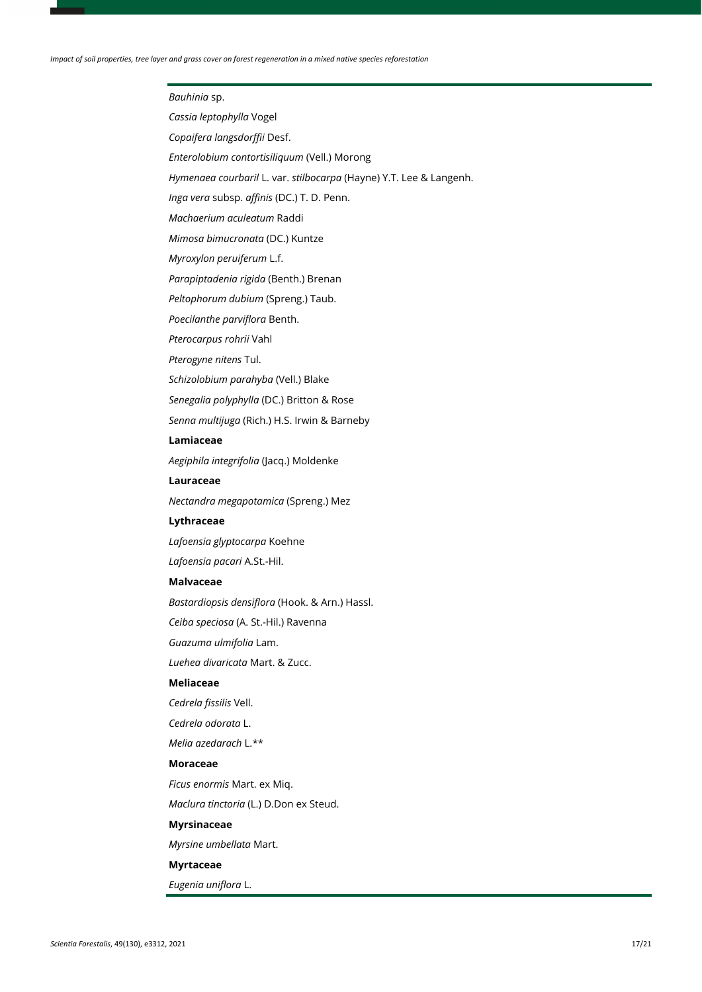### *Bauhinia* sp.

*Cassia leptophylla* Vogel

*Copaifera langsdorffii* Desf.

*Enterolobium contortisiliquum* (Vell.) Morong

*Hymenaea courbaril* L. var. *stilbocarpa* (Hayne) Y.T. Lee & Langenh.

*Inga vera* subsp. *affinis* (DC.) T. D. Penn.

*Machaerium aculeatum* Raddi

*Mimosa bimucronata* (DC.) Kuntze

*Myroxylon peruiferum* L.f.

*Parapiptadenia rigida* (Benth.) Brenan

*Peltophorum dubium* (Spreng.) Taub.

*Poecilanthe parviflora* Benth.

*Pterocarpus rohrii* Vahl

*Pterogyne nitens* Tul.

*Schizolobium parahyba* (Vell.) Blake

*Senegalia polyphylla* (DC.) Britton & Rose

*Senna multijuga* (Rich.) H.S. Irwin & Barneby

#### **Lamiaceae**

*Aegiphila integrifolia* (Jacq.) Moldenke

#### **Lauraceae**

*Nectandra megapotamica* (Spreng.) Mez

#### **Lythraceae**

*Lafoensia glyptocarpa* Koehne

*Lafoensia pacari* A.St.-Hil.

#### **Malvaceae**

*Bastardiopsis densiflora* (Hook. & Arn.) Hassl.

*Ceiba speciosa* (A. St.-Hil.) Ravenna

*Guazuma ulmifolia* Lam.

*Luehea divaricata* Mart. & Zucc.

### **Meliaceae**

*Cedrela fissilis* Vell.

*Cedrela odorata* L.

*Melia azedarach* L.\*\*

#### **Moraceae**

*Ficus enormis* Mart. ex Miq.

*Maclura tinctoria* (L.) D.Don ex Steud.

### **Myrsinaceae**

*Myrsine umbellata* Mart.

### **Myrtaceae**

*Eugenia uniflora* L.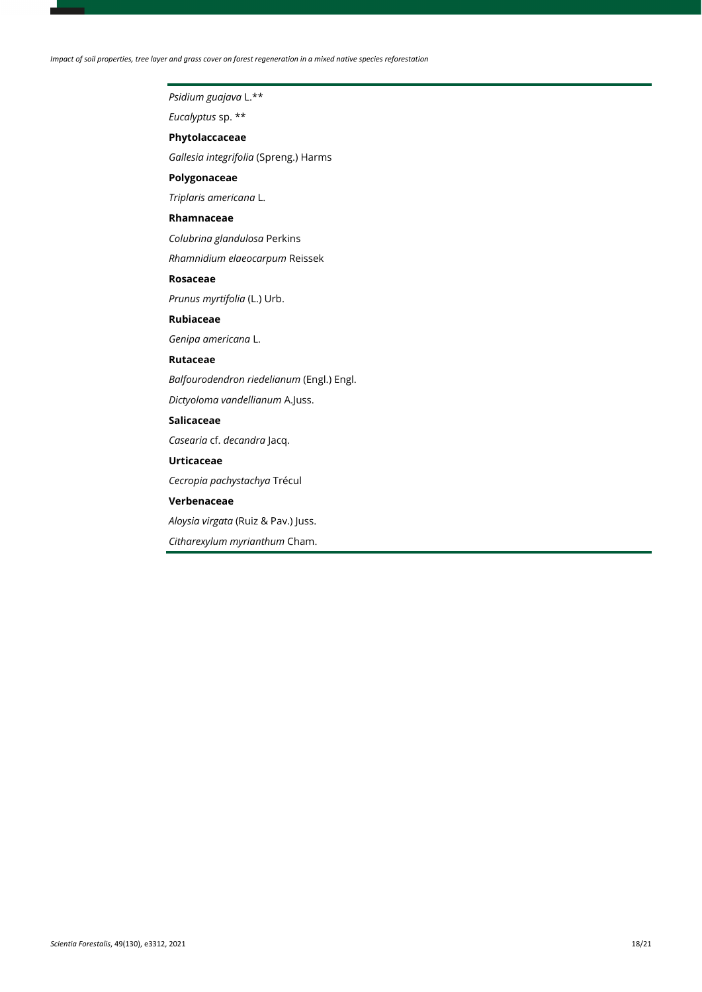*Impact of soil properties, tree layer and grass cover on forest regeneration in a mixed native species reforestation*

# *Psidium guajava* L.\*\*

*Eucalyptus* sp. \*\*

### **Phytolaccaceae**

*Gallesia integrifolia* (Spreng.) Harms

### **Polygonaceae**

*Triplaris americana* L.

### **Rhamnaceae**

*Colubrina glandulosa* Perkins

*Rhamnidium elaeocarpum* Reissek

# **Rosaceae**

*Prunus myrtifolia* (L.) Urb.

### **Rubiaceae**

*Genipa americana* L.

### **Rutaceae**

*Balfourodendron riedelianum* (Engl.) Engl.

*Dictyoloma vandellianum* A.Juss.

### **Salicaceae**

*Casearia* cf. *decandra* Jacq.

# **Urticaceae**

*Cecropia pachystachya* Trécul

### **Verbenaceae**

*Aloysia virgata* (Ruiz & Pav.) Juss.

*Citharexylum myrianthum* Cham.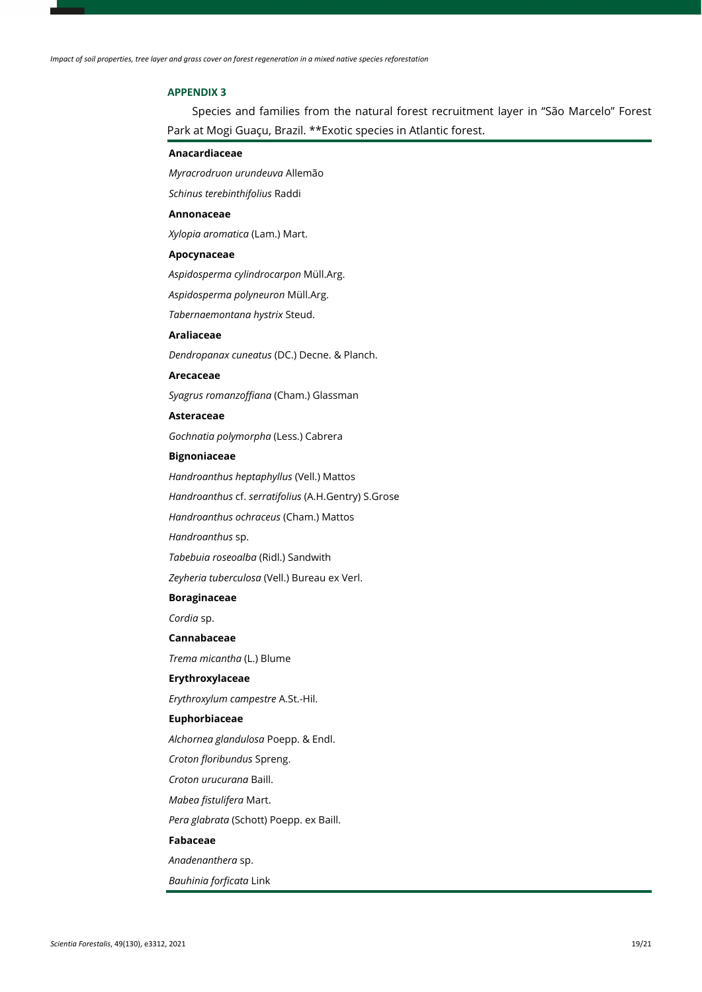### **APPENDIX 3**

Species and families from the natural forest recruitment layer in "São Marcelo" Forest Park at Mogi Guaçu, Brazil. \*\*Exotic species in Atlantic forest.

### **Anacardiaceae**

*Myracrodruon urundeuva* Allemão

*Schinus terebinthifolius* Raddi

#### **Annonaceae**

*Xylopia aromatica* (Lam.) Mart.

#### **Apocynaceae**

*Aspidosperma cylindrocarpon* Müll.Arg.

*Aspidosperma polyneuron* Müll.Arg.

*Tabernaemontana hystrix* Steud.

### **Araliaceae**

*Dendropanax cuneatus* (DC.) Decne. & Planch.

#### **Arecaceae**

*Syagrus romanzoffiana* (Cham.) Glassman

#### **Asteraceae**

*Gochnatia polymorpha* (Less.) Cabrera

# **Bignoniaceae**

*Handroanthus heptaphyllus* (Vell.) Mattos

*Handroanthus* cf. *serratifolius* (A.H.Gentry) S.Grose

*Handroanthus ochraceus* (Cham.) Mattos

*Handroanthus* sp.

*Tabebuia roseoalba* (Ridl.) Sandwith

*Zeyheria tuberculosa* (Vell.) Bureau ex Verl.

# **Boraginaceae**

*Cordia* sp.

### **Cannabaceae**

*Trema micantha* (L.) Blume

### **Erythroxylaceae**

*Erythroxylum campestre* A.St.-Hil.

### **Euphorbiaceae**

*Alchornea glandulosa* Poepp. & Endl.

*Croton floribundus* Spreng.

*Croton urucurana* Baill.

*Mabea fistulifera* Mart.

*Pera glabrata* (Schott) Poepp. ex Baill.

### **Fabaceae**

*Anadenanthera* sp.

*Bauhinia forficata* Link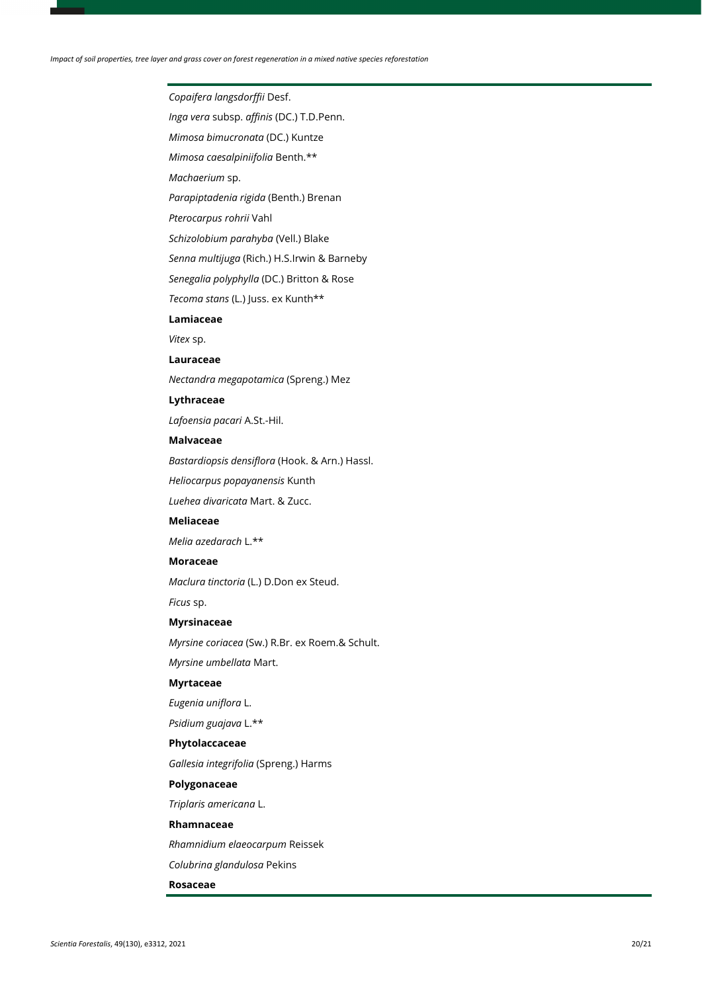# *Copaifera langsdorffii* Desf.

*Inga vera* subsp. *affinis* (DC.) T.D.Penn.

*Mimosa bimucronata* (DC.) Kuntze

*Mimosa caesalpiniifolia* Benth.\*\*

*Machaerium* sp.

*Parapiptadenia rigida* (Benth.) Brenan

*Pterocarpus rohrii* Vahl

*Schizolobium parahyba* (Vell.) Blake

*Senna multijuga* (Rich.) H.S.Irwin & Barneby

*Senegalia polyphylla* (DC.) Britton & Rose

*Tecoma stans* (L.) Juss. ex Kunth\*\*

#### **Lamiaceae**

*Vitex* sp.

#### **Lauraceae**

*Nectandra megapotamica* (Spreng.) Mez

### **Lythraceae**

*Lafoensia pacari* A.St.-Hil.

#### **Malvaceae**

*Bastardiopsis densiflora* (Hook. & Arn.) Hassl.

*Heliocarpus popayanensis* Kunth

*Luehea divaricata* Mart. & Zucc.

### **Meliaceae**

*Melia azedarach* L.\*\*

### **Moraceae**

*Maclura tinctoria* (L.) D.Don ex Steud.

*Ficus* sp.

### **Myrsinaceae**

*Myrsine coriacea* (Sw.) R.Br. ex Roem.& Schult. *Myrsine umbellata* Mart.

### **Myrtaceae**

*Eugenia uniflora* L.

*Psidium guajava* L.\*\*

#### **Phytolaccaceae**

*Gallesia integrifolia* (Spreng.) Harms

### **Polygonaceae**

*Triplaris americana* L.

# **Rhamnaceae**

*Rhamnidium elaeocarpum* Reissek

*Colubrina glandulosa* Pekins

#### **Rosaceae**